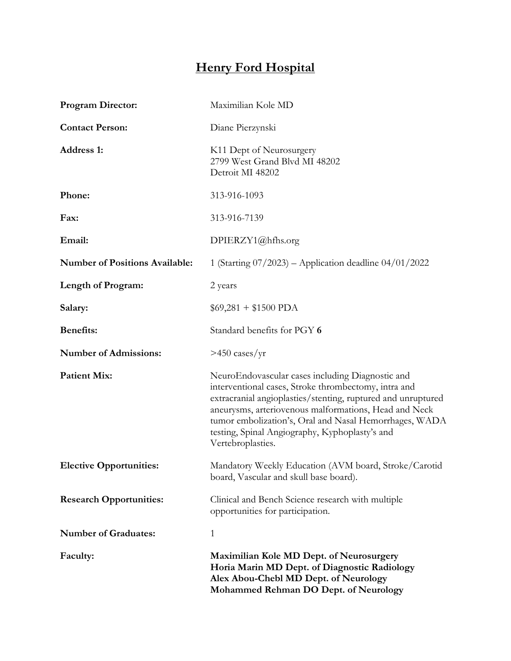## **Henry Ford Hospital**

| <b>Program Director:</b>              | Maximilian Kole MD                                                                                                                                                                                                                                                                                                                                                 |
|---------------------------------------|--------------------------------------------------------------------------------------------------------------------------------------------------------------------------------------------------------------------------------------------------------------------------------------------------------------------------------------------------------------------|
| <b>Contact Person:</b>                | Diane Pierzynski                                                                                                                                                                                                                                                                                                                                                   |
| <b>Address 1:</b>                     | K11 Dept of Neurosurgery<br>2799 West Grand Blvd MI 48202<br>Detroit MI 48202                                                                                                                                                                                                                                                                                      |
| Phone:                                | 313-916-1093                                                                                                                                                                                                                                                                                                                                                       |
| Fax:                                  | 313-916-7139                                                                                                                                                                                                                                                                                                                                                       |
| Email:                                | DPIERZY1@hfhs.org                                                                                                                                                                                                                                                                                                                                                  |
| <b>Number of Positions Available:</b> | 1 (Starting $07/2023$ ) – Application deadline $04/01/2022$                                                                                                                                                                                                                                                                                                        |
| Length of Program:                    | 2 years                                                                                                                                                                                                                                                                                                                                                            |
| Salary:                               | $$69,281 + $1500$ PDA                                                                                                                                                                                                                                                                                                                                              |
| <b>Benefits:</b>                      | Standard benefits for PGY 6                                                                                                                                                                                                                                                                                                                                        |
| <b>Number of Admissions:</b>          | $>450 \text{ cases/yr}$                                                                                                                                                                                                                                                                                                                                            |
| <b>Patient Mix:</b>                   | NeuroEndovascular cases including Diagnostic and<br>interventional cases, Stroke thrombectomy, intra and<br>extracranial angioplasties/stenting, ruptured and unruptured<br>aneurysms, arteriovenous malformations, Head and Neck<br>tumor embolization's, Oral and Nasal Hemorrhages, WADA<br>testing, Spinal Angiography, Kyphoplasty's and<br>Vertebroplasties. |
| <b>Elective Opportunities:</b>        | Mandatory Weekly Education (AVM board, Stroke/Carotid<br>board, Vascular and skull base board).                                                                                                                                                                                                                                                                    |
| <b>Research Opportunities:</b>        | Clinical and Bench Science research with multiple<br>opportunities for participation.                                                                                                                                                                                                                                                                              |
| <b>Number of Graduates:</b>           | 1                                                                                                                                                                                                                                                                                                                                                                  |
| Faculty:                              | Maximilian Kole MD Dept. of Neurosurgery<br>Horia Marin MD Dept. of Diagnostic Radiology<br>Alex Abou-Chebl MD Dept. of Neurology<br>Mohammed Rehman DO Dept. of Neurology                                                                                                                                                                                         |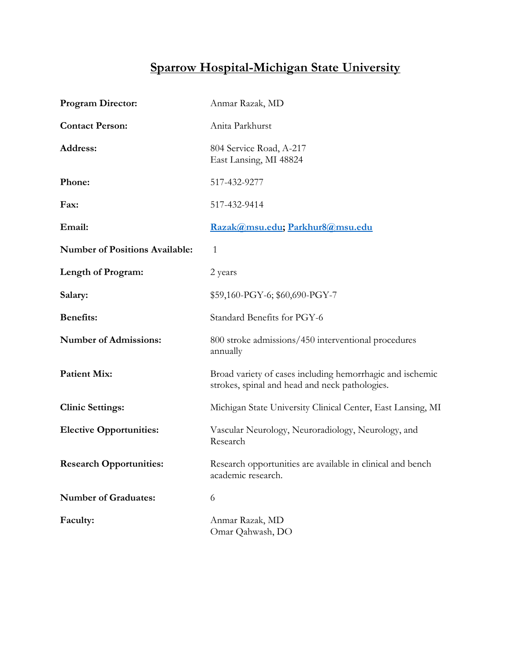## **Sparrow Hospital-Michigan State University**

| <b>Program Director:</b>              | Anmar Razak, MD                                                                                             |
|---------------------------------------|-------------------------------------------------------------------------------------------------------------|
| <b>Contact Person:</b>                | Anita Parkhurst                                                                                             |
| Address:                              | 804 Service Road, A-217<br>East Lansing, MI 48824                                                           |
| Phone:                                | 517-432-9277                                                                                                |
| Fax:                                  | 517-432-9414                                                                                                |
| Email:                                | Razak@msu.edu; Parkhur8@msu.edu                                                                             |
| <b>Number of Positions Available:</b> | 1                                                                                                           |
| Length of Program:                    | 2 years                                                                                                     |
| Salary:                               | \$59,160-PGY-6; \$60,690-PGY-7                                                                              |
| <b>Benefits:</b>                      | Standard Benefits for PGY-6                                                                                 |
| <b>Number of Admissions:</b>          | 800 stroke admissions/450 interventional procedures<br>annually                                             |
| <b>Patient Mix:</b>                   | Broad variety of cases including hemorrhagic and ischemic<br>strokes, spinal and head and neck pathologies. |
| <b>Clinic Settings:</b>               | Michigan State University Clinical Center, East Lansing, MI                                                 |
| <b>Elective Opportunities:</b>        | Vascular Neurology, Neuroradiology, Neurology, and<br>Research                                              |
| <b>Research Opportunities:</b>        | Research opportunities are available in clinical and bench<br>academic research.                            |
| <b>Number of Graduates:</b>           | 6                                                                                                           |
| Faculty:                              | Anmar Razak, MD<br>Omar Qahwash, DO                                                                         |